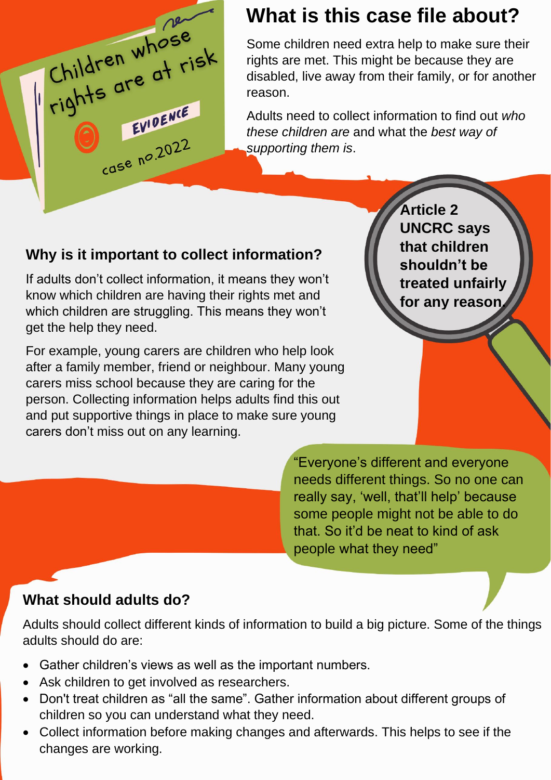

## **What is this case file about?**

Some children need extra help to make sure their rights are met. This might be because they are disabled, live away from their family, or for another reason.

Adults need to collect information to find out *who these children are* and what the *best way of supporting them is*.

### **Why is it important to collect information?**

If adults don't collect information, it means they won't know which children are having their rights met and which children are struggling. This means they won't get the help they need.

For example, young carers are children who help look after a family member, friend or neighbour. Many young carers miss school because they are caring for the person. Collecting information helps adults find this out and put supportive things in place to make sure young carers don't miss out on any learning.

**Article 2 UNCRC says that children shouldn't be treated unfairly for any reason.**

"Everyone's different and everyone needs different things. So no one can really say, 'well, that'll help' because some people might not be able to do that. So it'd be neat to kind of ask people what they need"

### **What should adults do?**

Adults should collect different kinds of information to build a big picture. Some of the things adults should do are:

- Gather children's views as well as the important numbers.
- Ask children to get involved as researchers.
- Don't treat children as "all the same". Gather information about different groups of children so you can understand what they need.
- Collect information before making changes and afterwards. This helps to see if the changes are working.